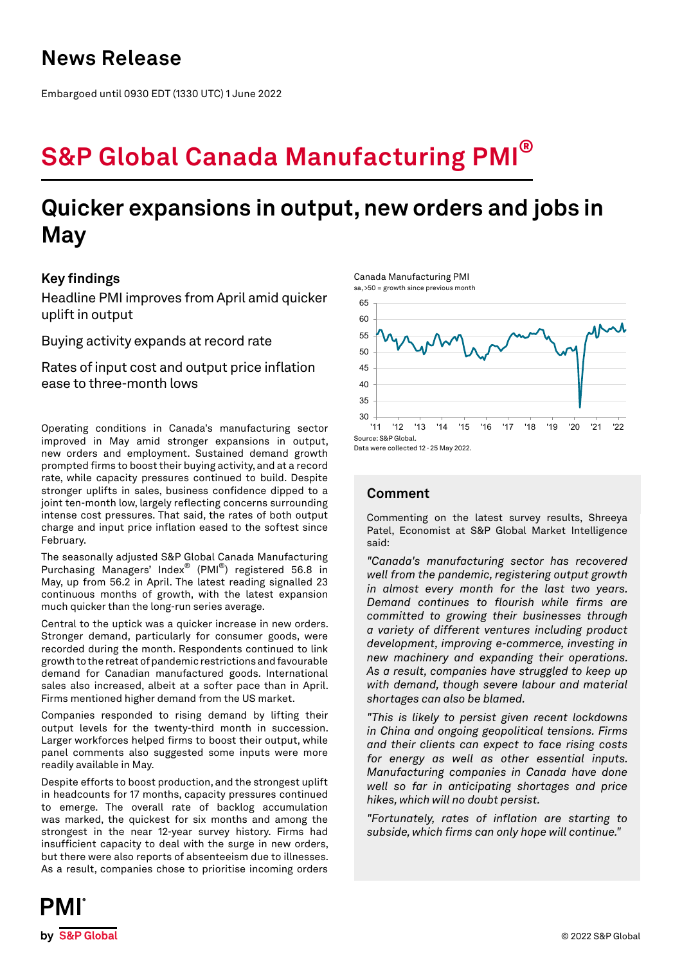# **News Release**

Embargoed until 0930 EDT (1330 UTC) 1 June 2022

# **S&P Global Canada Manufacturing PMI®**

# **Quicker expansions in output, new orders and jobs in May**

### **Key findings**

Headline PMI improves from April amid quicker uplift in output

Buying activity expands at record rate

Rates of input cost and output price inflation ease to three-month lows

Operating conditions in Canada's manufacturing sector improved in May amid stronger expansions in output, new orders and employment. Sustained demand growth prompted firms to boost their buying activity, and at a record rate, while capacity pressures continued to build. Despite stronger uplifts in sales, business confidence dipped to a joint ten-month low, largely reflecting concerns surrounding intense cost pressures. That said, the rates of both output charge and input price inflation eased to the softest since February.

The seasonally adjusted S&P Global Canada Manufacturing Purchasing Managers' Index® (PMI®) registered 56.8 in May, up from 56.2 in April. The latest reading signalled 23 continuous months of growth, with the latest expansion much quicker than the long-run series average.

Central to the uptick was a quicker increase in new orders. Stronger demand, particularly for consumer goods, were recorded during the month. Respondents continued to link growth to the retreat of pandemic restrictions and favourable demand for Canadian manufactured goods. International sales also increased, albeit at a softer pace than in April. Firms mentioned higher demand from the US market.

Companies responded to rising demand by lifting their output levels for the twenty-third month in succession. Larger workforces helped firms to boost their output, while panel comments also suggested some inputs were more readily available in May.

Despite efforts to boost production, and the strongest uplift in headcounts for 17 months, capacity pressures continued to emerge. The overall rate of backlog accumulation was marked, the quickest for six months and among the strongest in the near 12-year survey history. Firms had insufficient capacity to deal with the surge in new orders, but there were also reports of absenteeism due to illnesses. As a result, companies chose to prioritise incoming orders



Data were collected 12 - 25 May 2022.

Canada Manufacturing PMI sa, >50 = growth since previous month

## **Comment**

Commenting on the latest survey results, Shreeya Patel, Economist at S&P Global Market Intelligence said:

*"Canada's manufacturing sector has recovered well from the pandemic, registering output growth in almost every month for the last two years. Demand continues to flourish while firms are committed to growing their businesses through a variety of different ventures including product development, improving e-commerce, investing in new machinery and expanding their operations. As a result, companies have struggled to keep up with demand, though severe labour and material shortages can also be blamed.* 

*"This is likely to persist given recent lockdowns in China and ongoing geopolitical tensions. Firms and their clients can expect to face rising costs for energy as well as other essential inputs. Manufacturing companies in Canada have done well so far in anticipating shortages and price hikes, which will no doubt persist.* 

*"Fortunately, rates of inflation are starting to subside, which firms can only hope will continue."*